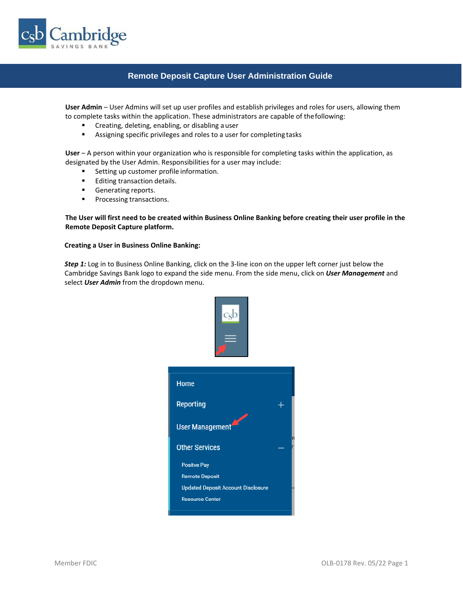

## **Remote Deposit Capture User Administration Guide**

**User Admin** – User Admins will set up user profiles and establish privileges and roles for users, allowing them to complete tasks within the application. These administrators are capable of thefollowing:

- Creating, deleting, enabling, or disabling a user
- Assigning specific privileges and roles to a user for completing tasks

**User** – A person within your organization who is responsible for completing tasks within the application, as designated by the User Admin. Responsibilities for a user may include:

- Setting up customer profile information.
- Editing transaction details.
- Generating reports.
- Processing transactions.

**The User will first need to be created within Business Online Banking before creating their user profile in the Remote Deposit Capture platform.**

### **Creating a User in Business Online Banking:**

*Step 1:* Log in to Business Online Banking, click on the 3-line icon on the upper left corner just below the Cambridge Savings Bank logo to expand the side menu. From the side menu, click on *User Management* and select *User Admin* from the dropdown menu.

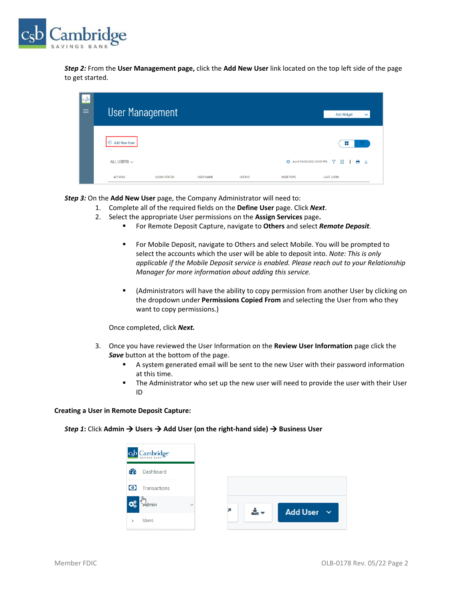

*Step 2:* From the **User Management page,** click the **Add New User** link located on the top left side of the page to get started.

| $ c_{s}$<br>$\equiv$ | <b>User Management</b>          |                     |                  |         |                             | <b>Add Widget</b><br>$\checkmark$ |
|----------------------|---------------------------------|---------------------|------------------|---------|-----------------------------|-----------------------------------|
|                      | <b>Add New User</b><br>$\oplus$ |                     |                  |         |                             | ÷                                 |
|                      | ALL USERS $\smallsmile$         |                     |                  |         | + As of 05/04/2022 04:05 PM | e<br>Y<br>业<br>m                  |
|                      | <b>ACTIONS</b>                  | <b>LOGIN STATUS</b> | <b>USER NAME</b> | USER ID | <b>USER TYPE</b>            | <b>LAST LOGIN</b>                 |

*Step 3:* On the **Add New User** page, the Company Administrator will need to:

- 1. Complete all of the required fields on the **Define User** page. Click *Next*.
- 2. Select the appropriate User permissions on the **Assign Services** page**.**
	- For Remote Deposit Capture, navigate to **Others** and select *Remote Deposit*.
		- For Mobile Deposit, navigate to Others and select Mobile. You will be prompted to select the accounts which the user will be able to deposit into. *Note: This is only applicable if the Mobile Deposit service is enabled. Please reach out to your Relationship Manager for more information about adding this service.*
		- (Administrators will have the ability to copy permission from another User by clicking on the dropdown under **Permissions Copied From** and selecting the User from who they want to copy permissions.)

Once completed, click *Next.*

- 3. Once you have reviewed the User Information on the **Review User Information** page click the *Save* button at the bottom of the page.
	- **EXECT** A system generated email will be sent to the new User with their password information at this time.
	- **■** The Administrator who set up the new user will need to provide the user with their User ID

#### **Creating a User in Remote Deposit Capture:**

*Step 1***:** Click **Admin** → **Users** → **Add User (on the right-hand side)** → **Business User** 

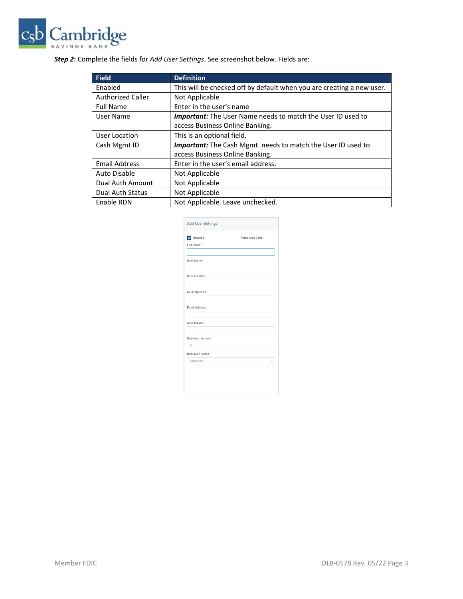

# *Step 2***:** Complete the fields for *Add User Settings*. See screenshot below. Fields are:

| <b>Field</b>             | <b>Definition</b>                                                     |
|--------------------------|-----------------------------------------------------------------------|
| Enabled                  | This will be checked off by default when you are creating a new user. |
| <b>Authorized Caller</b> | Not Applicable                                                        |
| <b>Full Name</b>         | Enter in the user's name                                              |
| User Name                | <b>Important:</b> The User Name needs to match the User ID used to    |
|                          | access Business Online Banking.                                       |
| User Location            | This is an optional field.                                            |
| Cash Mgmt ID             | <b>Important:</b> The Cash Mgmt. needs to match the User ID used to   |
|                          | access Business Online Banking.                                       |
| <b>Email Address</b>     | Enter in the user's email address.                                    |
| Auto Disable             | Not Applicable                                                        |
| Dual Auth Amount         | Not Applicable                                                        |
| <b>Dual Auth Status</b>  | Not Applicable                                                        |
| Enable RDN               | Not Applicable. Leave unchecked.                                      |

| <b>Add User Settings</b><br><b>D</b> Enabled<br><b>Authorized Caller</b><br>Full Name*<br>I<br>User Name <sup>*</sup><br><b>User Location</b><br>Cash Mgmt ID *<br><b>Email Address</b><br><b>Auto Disable</b><br><b>Dual Auth Amount</b><br>$\overline{0}$<br><b>Dual Auth Status</b><br>Approved |  |
|----------------------------------------------------------------------------------------------------------------------------------------------------------------------------------------------------------------------------------------------------------------------------------------------------|--|
|                                                                                                                                                                                                                                                                                                    |  |
|                                                                                                                                                                                                                                                                                                    |  |
|                                                                                                                                                                                                                                                                                                    |  |
|                                                                                                                                                                                                                                                                                                    |  |
|                                                                                                                                                                                                                                                                                                    |  |
|                                                                                                                                                                                                                                                                                                    |  |
|                                                                                                                                                                                                                                                                                                    |  |
|                                                                                                                                                                                                                                                                                                    |  |
|                                                                                                                                                                                                                                                                                                    |  |
|                                                                                                                                                                                                                                                                                                    |  |
|                                                                                                                                                                                                                                                                                                    |  |
|                                                                                                                                                                                                                                                                                                    |  |
|                                                                                                                                                                                                                                                                                                    |  |
|                                                                                                                                                                                                                                                                                                    |  |
|                                                                                                                                                                                                                                                                                                    |  |
|                                                                                                                                                                                                                                                                                                    |  |
|                                                                                                                                                                                                                                                                                                    |  |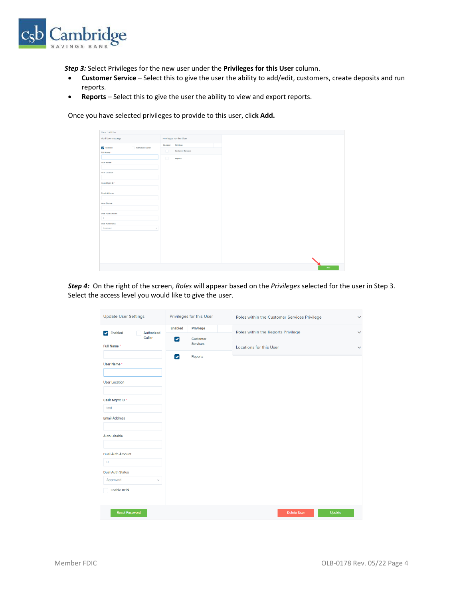

*Step 3:* Select Privileges for the new user under the **Privileges for this User** column.

- **Customer Service** Select this to give the user the ability to add/edit, customers, create deposits and run reports.
- **Reports**  Select this to give the user the ability to view and export reports.

Once you have selected privileges to provide to this user, clic**k Add.**

| Users / Add User                      |                   |                          |
|---------------------------------------|-------------------|--------------------------|
| Add User Settings                     |                   | Privileges for this User |
|                                       | Enabled Privilege |                          |
| <b>D</b> Enabled<br>Authorized Caller | $\Box$            | Customer Services        |
| Full Name *                           |                   |                          |
|                                       | $\Box$            | Reports                  |
| User Name *                           |                   |                          |
|                                       |                   |                          |
| User Location                         |                   |                          |
|                                       |                   |                          |
| Cash Mgmt ID *                        |                   |                          |
|                                       |                   |                          |
| <b>Email Address</b>                  |                   |                          |
|                                       |                   |                          |
| Auto Disable                          |                   |                          |
|                                       |                   |                          |
| Dual Auth Amount                      |                   |                          |
| $\circ$                               |                   |                          |
| <b>Dual Auth Status</b>               |                   |                          |
| Approved<br>$\vee$                    |                   |                          |
|                                       |                   |                          |
|                                       |                   |                          |
|                                       |                   |                          |
|                                       |                   |                          |
|                                       |                   |                          |
|                                       |                   |                          |
|                                       |                   |                          |
|                                       |                   |                          |
|                                       |                   |                          |

*Step 4:* On the right of the screen, *Roles* will appear based on the *Privileges* selected for the user in Step 3. Select the access level you would like to give the user.

| <b>Update User Settings</b>                   | Privileges for this User         | Roles within the Customer Services Privilege<br>$\checkmark$ |
|-----------------------------------------------|----------------------------------|--------------------------------------------------------------|
| Enabled<br>Authorized<br>$\blacktriangledown$ | <b>Enabled</b><br>Privilege      | Roles within the Reports Privilege<br>$\checkmark$           |
| Caller<br>Full Name*                          | ☑<br>Customer<br><b>Services</b> | Locations for this User<br>$\checkmark$                      |
| User Name *<br><b>User Location</b>           | Reports<br>$\blacktriangledown$  |                                                              |
| Cash Mgmt ID*                                 |                                  |                                                              |
| test                                          |                                  |                                                              |
| <b>Email Address</b>                          |                                  |                                                              |
| <b>Auto Disable</b>                           |                                  |                                                              |
| <b>Dual Auth Amount</b>                       |                                  |                                                              |
| $\circ$                                       |                                  |                                                              |
| <b>Dual Auth Status</b>                       |                                  |                                                              |
| Approved<br>$\checkmark$                      |                                  |                                                              |
| <b>Enable RDN</b>                             |                                  |                                                              |
| <b>Reset Password</b>                         |                                  | Update<br><b>Delete User</b>                                 |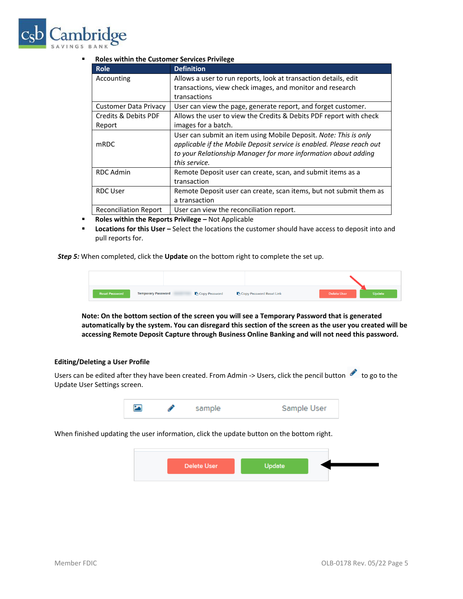

### ▪ **Roles within the Customer Services Privilege**

| <b>Role</b>                  | <b>Definition</b>                                                     |
|------------------------------|-----------------------------------------------------------------------|
| Accounting                   | Allows a user to run reports, look at transaction details, edit       |
|                              | transactions, view check images, and monitor and research             |
|                              | transactions                                                          |
| Customer Data Privacy        | User can view the page, generate report, and forget customer.         |
| Credits & Debits PDF         | Allows the user to view the Credits & Debits PDF report with check    |
| Report                       | images for a batch.                                                   |
|                              | User can submit an item using Mobile Deposit. Note: This is only      |
| mRDC                         | applicable if the Mobile Deposit service is enabled. Please reach out |
|                              | to your Relationship Manager for more information about adding        |
|                              | this service.                                                         |
| <b>RDC Admin</b>             | Remote Deposit user can create, scan, and submit items as a           |
|                              | transaction                                                           |
| <b>RDC User</b>              | Remote Deposit user can create, scan items, but not submit them as    |
|                              | a transaction                                                         |
| <b>Reconciliation Report</b> | User can view the reconciliation report.                              |

- **E** Roles within the Reports Privilege Not Applicable
- **■** Locations for this User Select the locations the customer should have access to deposit into and pull reports for.

*Step 5:* When completed, click the **Update** on the bottom right to complete the set up.

| <b>Reset Password</b> | <b>Temporary Password</b> | Copy Password | Copy Password Reset Link | Delete User | Update |
|-----------------------|---------------------------|---------------|--------------------------|-------------|--------|

**Note: On the bottom section of the screen you will see a Temporary Password that is generated automatically by the system. You can disregard this section of the screen as the user you created will be accessing Remote Deposit Capture through Business Online Banking and will not need this password.**

### **Editing/Deleting a User Profile**

Users can be edited after they have been created. From Admin -> Users, click the pencil button to go to the Update User Settings screen.



When finished updating the user information, click the update button on the bottom right.

| <b>Delete User</b> | <b>Update</b> |  |
|--------------------|---------------|--|
|                    |               |  |